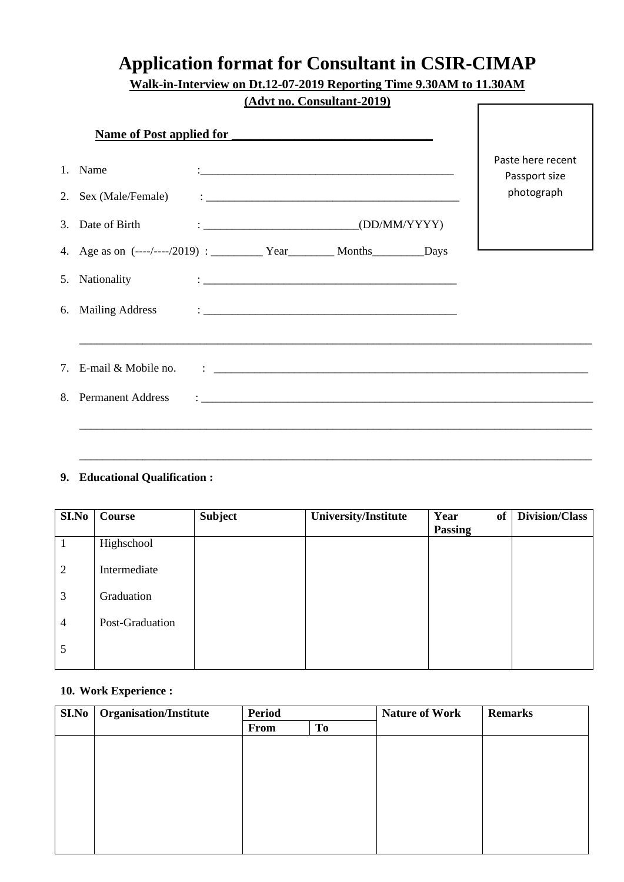## **Application format for Consultant in CSIR-CIMAP**

**Walk-in-Interview on Dt.12-07-2019 Reporting Time 9.30AM to 11.30AM** 

|                      |                                 | (Advt no. Consultant-2019)                                                                                                                                                                                                      |                                    |
|----------------------|---------------------------------|---------------------------------------------------------------------------------------------------------------------------------------------------------------------------------------------------------------------------------|------------------------------------|
|                      | <b>Name of Post applied for</b> |                                                                                                                                                                                                                                 |                                    |
| 1. Name              |                                 |                                                                                                                                                                                                                                 | Paste here recent<br>Passport size |
|                      |                                 |                                                                                                                                                                                                                                 | photograph                         |
|                      |                                 |                                                                                                                                                                                                                                 |                                    |
|                      |                                 |                                                                                                                                                                                                                                 |                                    |
| 5. Nationality       |                                 | $\ddotsc$ . The contract of the contract of the contract of the contract of the contract of the contract of the contract of the contract of the contract of the contract of the contract of the contract of the contract of the |                                    |
|                      |                                 |                                                                                                                                                                                                                                 |                                    |
|                      |                                 |                                                                                                                                                                                                                                 |                                    |
| 8. Permanent Address |                                 |                                                                                                                                                                                                                                 |                                    |
|                      |                                 |                                                                                                                                                                                                                                 |                                    |

## **9. Educational Qualification :**

| SI.No          | Course          | <b>Subject</b> | University/Institute | Year<br>of<br>Passing | Division/Class |
|----------------|-----------------|----------------|----------------------|-----------------------|----------------|
|                | Highschool      |                |                      |                       |                |
| $\overline{2}$ | Intermediate    |                |                      |                       |                |
| 3              | Graduation      |                |                      |                       |                |
| 4              | Post-Graduation |                |                      |                       |                |
| 5              |                 |                |                      |                       |                |

\_\_\_\_\_\_\_\_\_\_\_\_\_\_\_\_\_\_\_\_\_\_\_\_\_\_\_\_\_\_\_\_\_\_\_\_\_\_\_\_\_\_\_\_\_\_\_\_\_\_\_\_\_\_\_\_\_\_\_\_\_\_\_\_\_\_\_\_\_\_\_\_\_\_\_\_\_\_\_\_\_\_\_\_\_\_\_\_\_

## **10. Work Experience :**

| SI.No | <b>Organisation/Institute</b> | <b>Period</b> |    | <b>Nature of Work</b> | <b>Remarks</b> |
|-------|-------------------------------|---------------|----|-----------------------|----------------|
|       |                               | From          | To |                       |                |
|       |                               |               |    |                       |                |
|       |                               |               |    |                       |                |
|       |                               |               |    |                       |                |
|       |                               |               |    |                       |                |
|       |                               |               |    |                       |                |
|       |                               |               |    |                       |                |
|       |                               |               |    |                       |                |
|       |                               |               |    |                       |                |